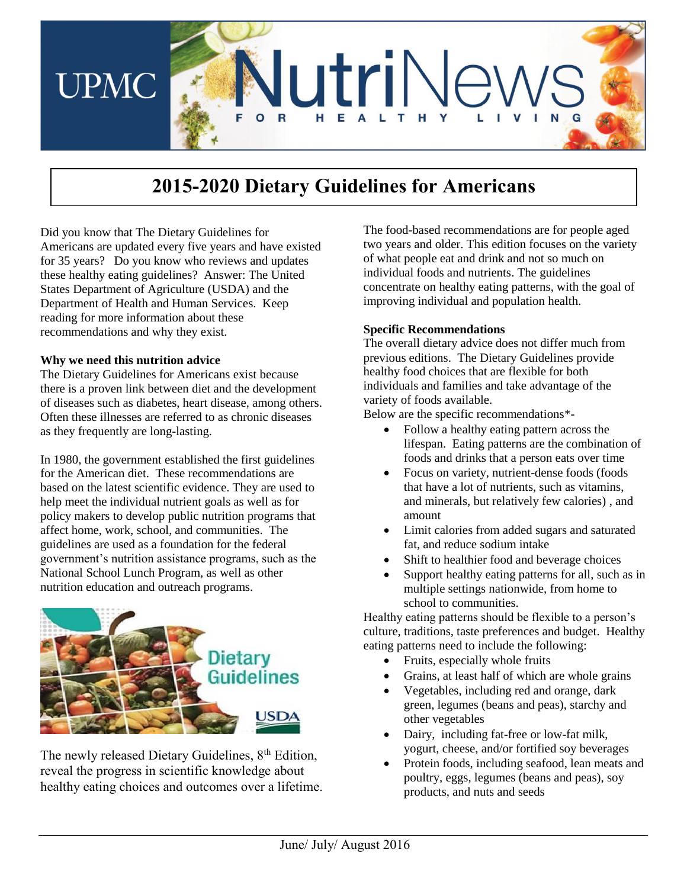

# **2015-2020 Dietary Guidelines for Americans**

Did you know that The Dietary Guidelines for Americans are updated every five years and have existed for 35 years? Do you know who reviews and updates these healthy eating guidelines? Answer: The United States Department of Agriculture (USDA) and the Department of Health and Human Services. Keep reading for more information about these recommendations and why they exist.

#### **Why we need this nutrition advice**

The Dietary Guidelines for Americans exist because there is a proven link between diet and the development of diseases such as diabetes, heart disease, among others. Often these illnesses are referred to as chronic diseases as they frequently are long-lasting.

In 1980, the government established the first guidelines for the American diet. These recommendations are based on the latest scientific evidence. They are used to help meet the individual nutrient goals as well as for policy makers to develop public nutrition programs that affect home, work, school, and communities. The guidelines are used as a foundation for the federal government's nutrition assistance programs, such as the National School Lunch Program, as well as other nutrition education and outreach programs.



The newly released Dietary Guidelines,  $8<sup>th</sup>$  Edition, reveal the progress in scientific knowledge about healthy eating choices and outcomes over a lifetime. The food-based recommendations are for people aged two years and older. This edition focuses on the variety of what people eat and drink and not so much on individual foods and nutrients. The guidelines concentrate on healthy eating patterns, with the goal of improving individual and population health.

#### **Specific Recommendations**

The overall dietary advice does not differ much from previous editions. The Dietary Guidelines provide healthy food choices that are flexible for both individuals and families and take advantage of the variety of foods available.

Below are the specific recommendations\*-

- Follow a healthy eating pattern across the lifespan. Eating patterns are the combination of foods and drinks that a person eats over time
- Focus on variety, nutrient-dense foods (foods that have a lot of nutrients, such as vitamins, and minerals, but relatively few calories) , and amount
- Limit calories from added sugars and saturated fat, and reduce sodium intake
- Shift to healthier food and beverage choices
- Support healthy eating patterns for all, such as in multiple settings nationwide, from home to school to communities.

Healthy eating patterns should be flexible to a person's culture, traditions, taste preferences and budget. Healthy eating patterns need to include the following:

- Fruits, especially whole fruits
- Grains, at least half of which are whole grains
- Vegetables, including red and orange, dark green, legumes (beans and peas), starchy and other vegetables
- Dairy, including fat-free or low-fat milk, yogurt, cheese, and/or fortified soy beverages
- Protein foods, including seafood, lean meats and poultry, eggs, legumes (beans and peas), soy products, and nuts and seeds